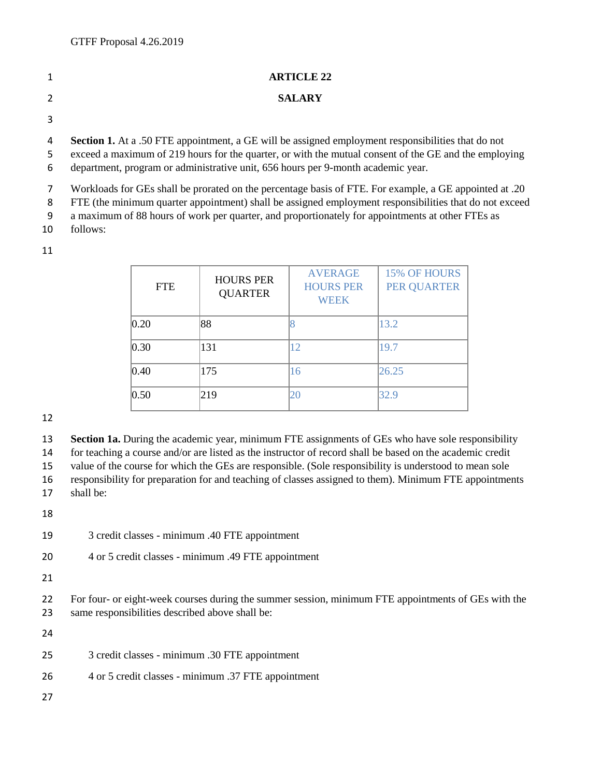#### **ARTICLE 22**

#### **SALARY**

**Section 1.** At a .50 FTE appointment, a GE will be assigned employment responsibilities that do not

 exceed a maximum of 219 hours for the quarter, or with the mutual consent of the GE and the employing department, program or administrative unit, 656 hours per 9-month academic year.

Workloads for GEs shall be prorated on the percentage basis of FTE. For example, a GE appointed at .20

FTE (the minimum quarter appointment) shall be assigned employment responsibilities that do not exceed

a maximum of 88 hours of work per quarter, and proportionately for appointments at other FTEs as

follows:

| <b>FTE</b>     | <b>HOURS PER</b><br><b>QUARTER</b> | <b>AVERAGE</b><br><b>HOURS PER</b><br><b>WEEK</b> | 15% OF HOURS<br>PER QUARTER |
|----------------|------------------------------------|---------------------------------------------------|-----------------------------|
| 0.20           | 88                                 |                                                   | 13.2                        |
| $ 0.30\rangle$ | 131                                | 12                                                | 19.7                        |
| $ 0.40\rangle$ | 175                                | 16                                                | 26.25                       |
| 0.50           | 219                                | 20                                                | 32.9                        |

**Section 1a.** During the academic year, minimum FTE assignments of GEs who have sole responsibility

for teaching a course and/or are listed as the instructor of record shall be based on the academic credit

value of the course for which the GEs are responsible. (Sole responsibility is understood to mean sole

 responsibility for preparation for and teaching of classes assigned to them). Minimum FTE appointments shall be:

3 credit classes - minimum .40 FTE appointment

4 or 5 credit classes - minimum .49 FTE appointment

 For four- or eight-week courses during the summer session, minimum FTE appointments of GEs with the same responsibilities described above shall be:

3 credit classes - minimum .30 FTE appointment

- 4 or 5 credit classes minimum .37 FTE appointment
-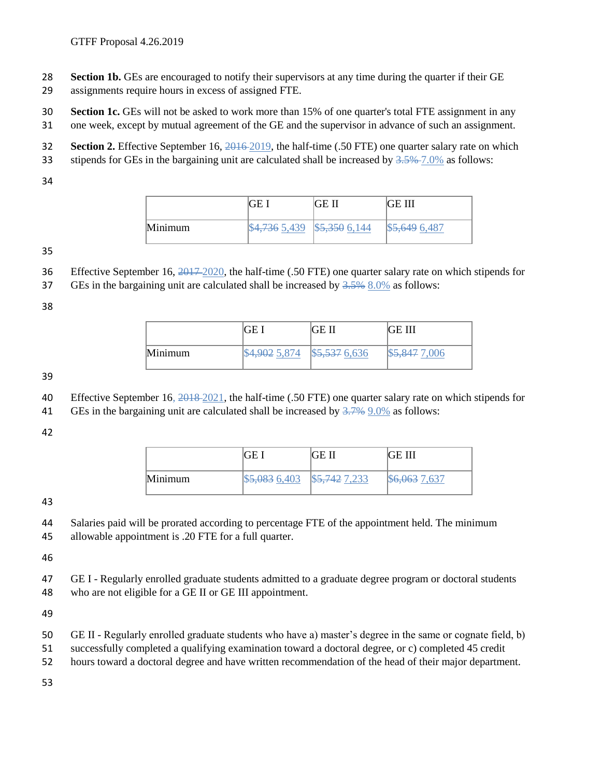- **Section 1b.** GEs are encouraged to notify their supervisors at any time during the quarter if their GE
- assignments require hours in excess of assigned FTE.
- **Section 1c.** GEs will not be asked to work more than 15% of one quarter's total FTE assignment in any
- one week, except by mutual agreement of the GE and the supervisor in advance of such an assignment.
- **Section 2.** Effective September 16, 2016 2019, the half-time (.50 FTE) one quarter salary rate on which
- 33 stipends for GEs in the bargaining unit are calculated shall be increased by  $3.5%$  7.0% as follows:
- 

|         | <b>GE</b>     | GE II        | IGE III             |
|---------|---------------|--------------|---------------------|
| Minimum | \$4,736 5,439 | \$5,3506,144 | <b>\$5,649 6,48</b> |

- Effective September 16, 2017 2020, the half-time (.50 FTE) one quarter salary rate on which stipends for
- 37 GEs in the bargaining unit are calculated shall be increased by  $3.5\%$   $8.0\%$  as follows:
- 

|         | GE.         | IGE II       | GE III                    |
|---------|-------------|--------------|---------------------------|
| Minimum | 4,902 5,874 | \$5,5376,636 | \$ <del>5,847</del> 7,006 |

Effective September 16, 2018 2021, the half-time (.50 FTE) one quarter salary rate on which stipends for

- 41 GEs in the bargaining unit are calculated shall be increased by  $3.7\%$  9.0% as follows:
- 

|         |                           | GE II                     | IGE III    |
|---------|---------------------------|---------------------------|------------|
| Minimum | \$ <del>5,083</del> 6,403 | \$ <del>5,742</del> 7,233 | 6,0637,637 |

 Salaries paid will be prorated according to percentage FTE of the appointment held. The minimum allowable appointment is .20 FTE for a full quarter.

 GE I - Regularly enrolled graduate students admitted to a graduate degree program or doctoral students who are not eligible for a GE II or GE III appointment.

- GE II Regularly enrolled graduate students who have a) master's degree in the same or cognate field, b)
- successfully completed a qualifying examination toward a doctoral degree, or c) completed 45 credit
- hours toward a doctoral degree and have written recommendation of the head of their major department.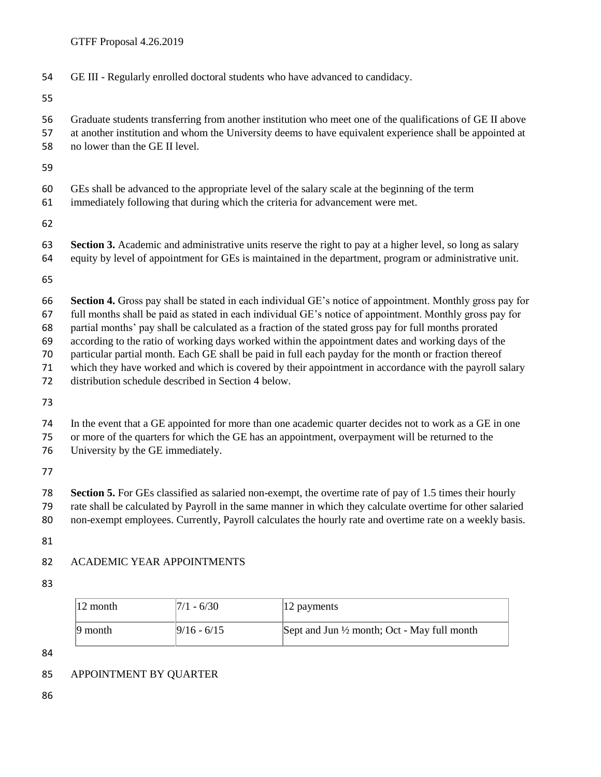GE III - Regularly enrolled doctoral students who have advanced to candidacy.

 Graduate students transferring from another institution who meet one of the qualifications of GE II above at another institution and whom the University deems to have equivalent experience shall be appointed at no lower than the GE II level.

- GEs shall be advanced to the appropriate level of the salary scale at the beginning of the term
- immediately following that during which the criteria for advancement were met.

 **Section 3.** Academic and administrative units reserve the right to pay at a higher level, so long as salary equity by level of appointment for GEs is maintained in the department, program or administrative unit.

**Section 4.** Gross pay shall be stated in each individual GE's notice of appointment. Monthly gross pay for

 full months shall be paid as stated in each individual GE's notice of appointment. Monthly gross pay for partial months' pay shall be calculated as a fraction of the stated gross pay for full months prorated

according to the ratio of working days worked within the appointment dates and working days of the

particular partial month. Each GE shall be paid in full each payday for the month or fraction thereof

- which they have worked and which is covered by their appointment in accordance with the payroll salary
- distribution schedule described in Section 4 below.

- In the event that a GE appointed for more than one academic quarter decides not to work as a GE in one or more of the quarters for which the GE has an appointment, overpayment will be returned to the
- University by the GE immediately.

**Section 5.** For GEs classified as salaried non-exempt, the overtime rate of pay of 1.5 times their hourly

rate shall be calculated by Payroll in the same manner in which they calculate overtime for other salaried

non-exempt employees. Currently, Payroll calculates the hourly rate and overtime rate on a weekly basis.

### ACADEMIC YEAR APPOINTMENTS

| 12 month | 7/1 - 6/30      | 12 payments                                            |
|----------|-----------------|--------------------------------------------------------|
| 19 month | $ 9/16 - 6/15 $ | Sept and Jun $\frac{1}{2}$ month; Oct - May full month |

# APPOINTMENT BY QUARTER